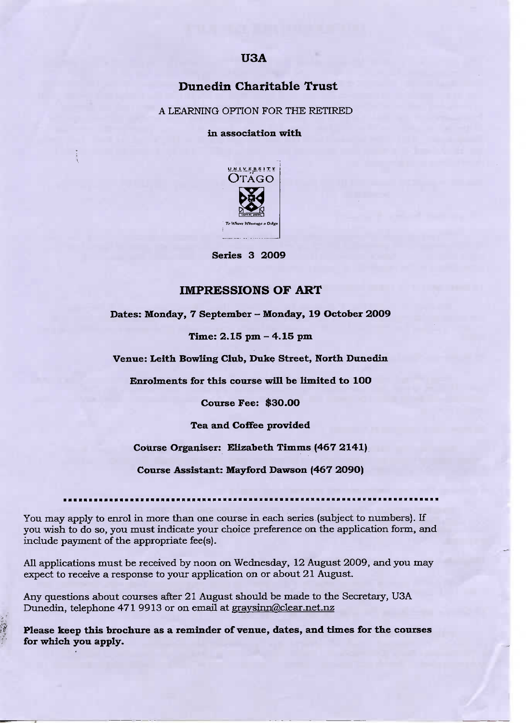# **USA**

## **Dunedin Charitable Trust**

A LEARNING OPTION FOR THE RETIRED

**in association with**



**Series 3 2009**

## IMPRESSIONS OF ART

**Dates: Monday, 7 September - Monday, 19 October** 2009

**Time: 2.15 pm - 4.15 pm**

**Venue: Leith Bowling Club, Duke Street, North Dunedin**

**Enrolments for this course will be limited to 10O**

**Course Fee: \$3O.OO**

**Tea and Coffee provided**

**Course Organiser: Elizabeth Timms (467 2141)**

**Course Assistant:** Mayford **Dawson (467 2O9O)**

You may apply to enrol in more than one course in each series (subject to numbers). If you wish to do so, you must indicate your choice preference on the application form, and include payment of the appropriate fee(s).

All applications must be received by noon on Wednesday, 12 August 2009, and you may expect to receive a response to your application on or about 21 August.

Any questions about courses after 21 August should be made to the Secretary, USA Dunedin, telephone 471 9913 or on email at graysinn@clear.net.nz

**Please keep this brochure as a reminder of venue,** dates, and times **for the courses for which you apply.**